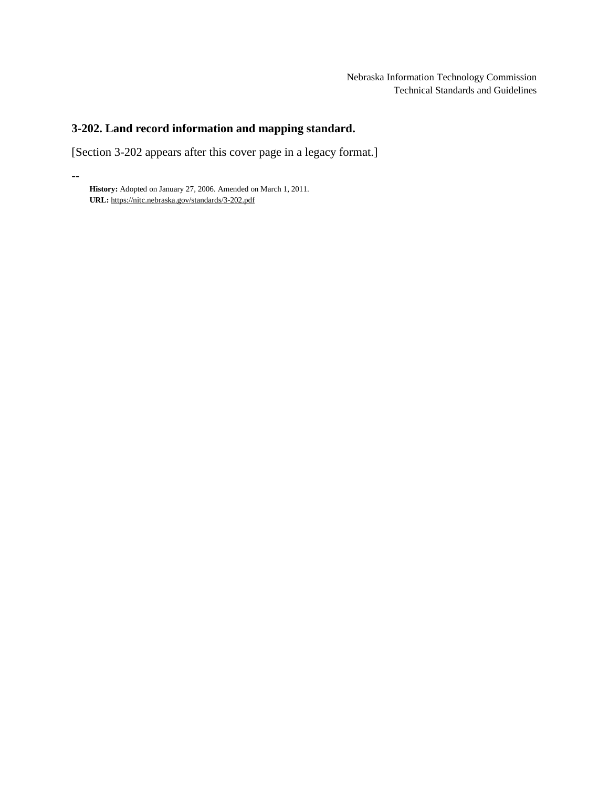# **3-202. Land record information and mapping standard.**

[Section 3-202 appears after this cover page in a legacy format.]

**History:** Adopted on January 27, 2006. Amended on March 1, 2011. **URL:** <https://nitc.nebraska.gov/standards/3-202.pdf>

--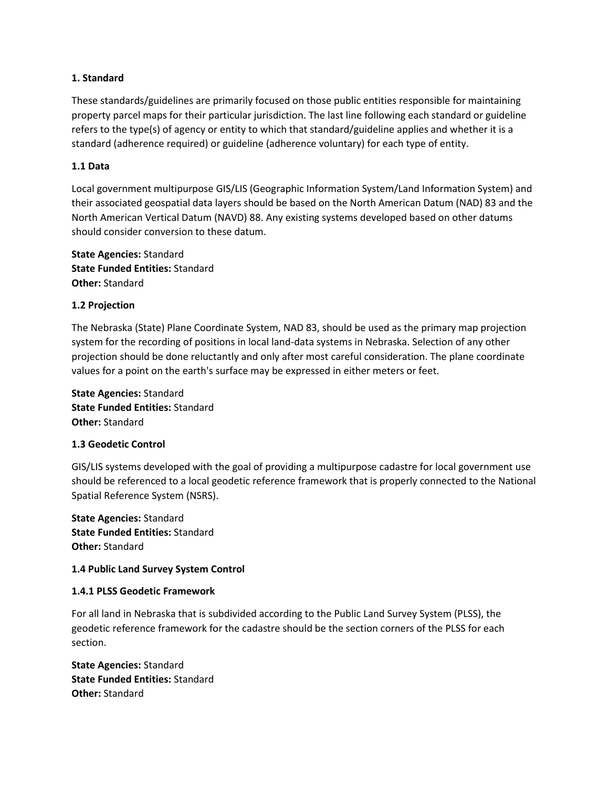# **1. Standard**

These standards/guidelines are primarily focused on those public entities responsible for maintaining property parcel maps for their particular jurisdiction. The last line following each standard or guideline refers to the type(s) of agency or entity to which that standard/guideline applies and whether it is a standard (adherence required) or guideline (adherence voluntary) for each type of entity.

# **1.1 Data**

Local government multipurpose GIS/LIS (Geographic Information System/Land Information System) and their associated geospatial data layers should be based on the North American Datum (NAD) 83 and the North American Vertical Datum (NAVD) 88. Any existing systems developed based on other datums should consider conversion to these datum.

**State Agencies:** Standard **State Funded Entities:** Standard **Other:** Standard

# **1.2 Projection**

The Nebraska (State) Plane Coordinate System, NAD 83, should be used as the primary map projection system for the recording of positions in local land-data systems in Nebraska. Selection of any other projection should be done reluctantly and only after most careful consideration. The plane coordinate values for a point on the earth's surface may be expressed in either meters or feet.

**State Agencies:** Standard **State Funded Entities:** Standard **Other:** Standard

# **1.3 Geodetic Control**

GIS/LIS systems developed with the goal of providing a multipurpose cadastre for local government use should be referenced to a local geodetic reference framework that is properly connected to the National Spatial Reference System (NSRS).

**State Agencies:** Standard **State Funded Entities:** Standard **Other:** Standard

# **1.4 Public Land Survey System Control**

# **1.4.1 PLSS Geodetic Framework**

For all land in Nebraska that is subdivided according to the Public Land Survey System (PLSS), the geodetic reference framework for the cadastre should be the section corners of the PLSS for each section.

**State Agencies:** Standard **State Funded Entities:** Standard **Other:** Standard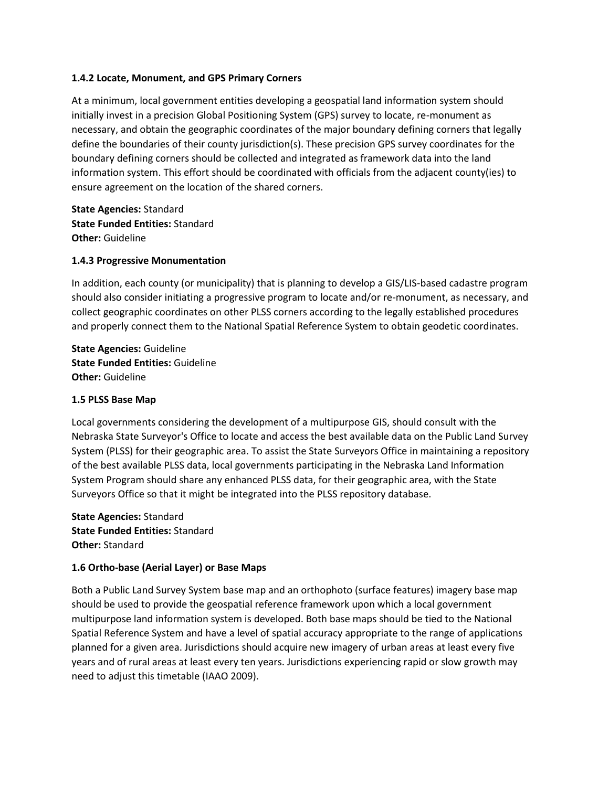# **1.4.2 Locate, Monument, and GPS Primary Corners**

At a minimum, local government entities developing a geospatial land information system should initially invest in a precision Global Positioning System (GPS) survey to locate, re-monument as necessary, and obtain the geographic coordinates of the major boundary defining corners that legally define the boundaries of their county jurisdiction(s). These precision GPS survey coordinates for the boundary defining corners should be collected and integrated as framework data into the land information system. This effort should be coordinated with officials from the adjacent county(ies) to ensure agreement on the location of the shared corners.

**State Agencies:** Standard **State Funded Entities:** Standard **Other:** Guideline

#### **1.4.3 Progressive Monumentation**

In addition, each county (or municipality) that is planning to develop a GIS/LIS-based cadastre program should also consider initiating a progressive program to locate and/or re-monument, as necessary, and collect geographic coordinates on other PLSS corners according to the legally established procedures and properly connect them to the National Spatial Reference System to obtain geodetic coordinates.

**State Agencies:** Guideline **State Funded Entities:** Guideline **Other:** Guideline

#### **1.5 PLSS Base Map**

Local governments considering the development of a multipurpose GIS, should consult with the Nebraska State Surveyor's Office to locate and access the best available data on the Public Land Survey System (PLSS) for their geographic area. To assist the State Surveyors Office in maintaining a repository of the best available PLSS data, local governments participating in the Nebraska Land Information System Program should share any enhanced PLSS data, for their geographic area, with the State Surveyors Office so that it might be integrated into the PLSS repository database.

**State Agencies:** Standard **State Funded Entities:** Standard **Other:** Standard

#### **1.6 Ortho-base (Aerial Layer) or Base Maps**

Both a Public Land Survey System base map and an orthophoto (surface features) imagery base map should be used to provide the geospatial reference framework upon which a local government multipurpose land information system is developed. Both base maps should be tied to the National Spatial Reference System and have a level of spatial accuracy appropriate to the range of applications planned for a given area. Jurisdictions should acquire new imagery of urban areas at least every five years and of rural areas at least every ten years. Jurisdictions experiencing rapid or slow growth may need to adjust this timetable (IAAO 2009).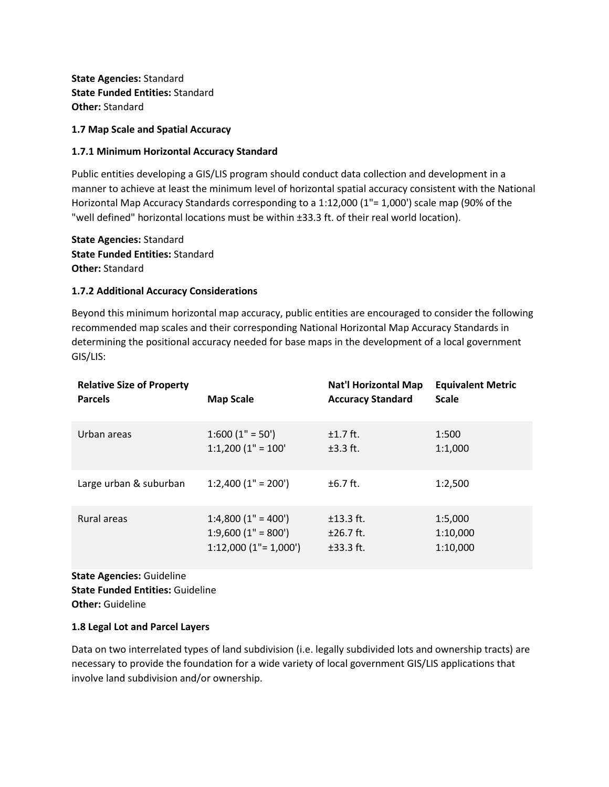**State Agencies:** Standard **State Funded Entities:** Standard **Other:** Standard

#### **1.7 Map Scale and Spatial Accuracy**

### **1.7.1 Minimum Horizontal Accuracy Standard**

Public entities developing a GIS/LIS program should conduct data collection and development in a manner to achieve at least the minimum level of horizontal spatial accuracy consistent with the National Horizontal Map Accuracy Standards corresponding to a 1:12,000 (1"= 1,000') scale map (90% of the "well defined" horizontal locations must be within ±33.3 ft. of their real world location).

**State Agencies:** Standard **State Funded Entities:** Standard **Other:** Standard

#### **1.7.2 Additional Accuracy Considerations**

Beyond this minimum horizontal map accuracy, public entities are encouraged to consider the following recommended map scales and their corresponding National Horizontal Map Accuracy Standards in determining the positional accuracy needed for base maps in the development of a local government GIS/LIS:

| <b>Relative Size of Property</b> | <b>Map Scale</b>           | <b>Nat'l Horizontal Map</b> | <b>Equivalent Metric</b> |
|----------------------------------|----------------------------|-----------------------------|--------------------------|
| <b>Parcels</b>                   |                            | <b>Accuracy Standard</b>    | <b>Scale</b>             |
| Urban areas                      | $1:600(1" = 50')$          | $±1.7$ ft.                  | 1:500                    |
|                                  | $1:1,200$ $(1" = 100"$     | $\pm 3.3$ ft.               | 1:1,000                  |
| Large urban & suburban           | $1:2,400$ $(1" = 200')$    | $±6.7$ ft.                  | 1:2,500                  |
| Rural areas                      | $1:4,800(1" = 400')$       | $±13.3$ ft.                 | 1:5,000                  |
|                                  | $1:9,600$ $(1" = 800')$    | $±26.7$ ft.                 | 1:10,000                 |
|                                  | $1:12,000$ $(1" = 1,000')$ | $±33.3$ ft.                 | 1:10,000                 |

**State Agencies:** Guideline **State Funded Entities:** Guideline **Other:** Guideline

#### **1.8 Legal Lot and Parcel Layers**

Data on two interrelated types of land subdivision (i.e. legally subdivided lots and ownership tracts) are necessary to provide the foundation for a wide variety of local government GIS/LIS applications that involve land subdivision and/or ownership.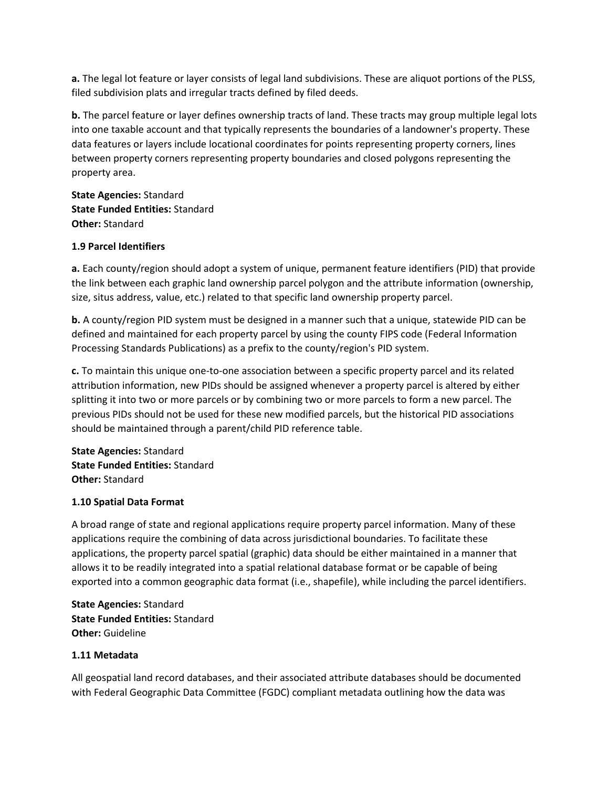**a.** The legal lot feature or layer consists of legal land subdivisions. These are aliquot portions of the PLSS, filed subdivision plats and irregular tracts defined by filed deeds.

**b.** The parcel feature or layer defines ownership tracts of land. These tracts may group multiple legal lots into one taxable account and that typically represents the boundaries of a landowner's property. These data features or layers include locational coordinates for points representing property corners, lines between property corners representing property boundaries and closed polygons representing the property area.

**State Agencies:** Standard **State Funded Entities:** Standard **Other:** Standard

# **1.9 Parcel Identifiers**

**a.** Each county/region should adopt a system of unique, permanent feature identifiers (PID) that provide the link between each graphic land ownership parcel polygon and the attribute information (ownership, size, situs address, value, etc.) related to that specific land ownership property parcel.

**b.** A county/region PID system must be designed in a manner such that a unique, statewide PID can be defined and maintained for each property parcel by using the county FIPS code (Federal Information Processing Standards Publications) as a prefix to the county/region's PID system.

**c.** To maintain this unique one-to-one association between a specific property parcel and its related attribution information, new PIDs should be assigned whenever a property parcel is altered by either splitting it into two or more parcels or by combining two or more parcels to form a new parcel. The previous PIDs should not be used for these new modified parcels, but the historical PID associations should be maintained through a parent/child PID reference table.

**State Agencies:** Standard **State Funded Entities:** Standard **Other:** Standard

# **1.10 Spatial Data Format**

A broad range of state and regional applications require property parcel information. Many of these applications require the combining of data across jurisdictional boundaries. To facilitate these applications, the property parcel spatial (graphic) data should be either maintained in a manner that allows it to be readily integrated into a spatial relational database format or be capable of being exported into a common geographic data format (i.e., shapefile), while including the parcel identifiers.

**State Agencies:** Standard **State Funded Entities:** Standard **Other:** Guideline

# **1.11 Metadata**

All geospatial land record databases, and their associated attribute databases should be documented with Federal Geographic Data Committee (FGDC) compliant metadata outlining how the data was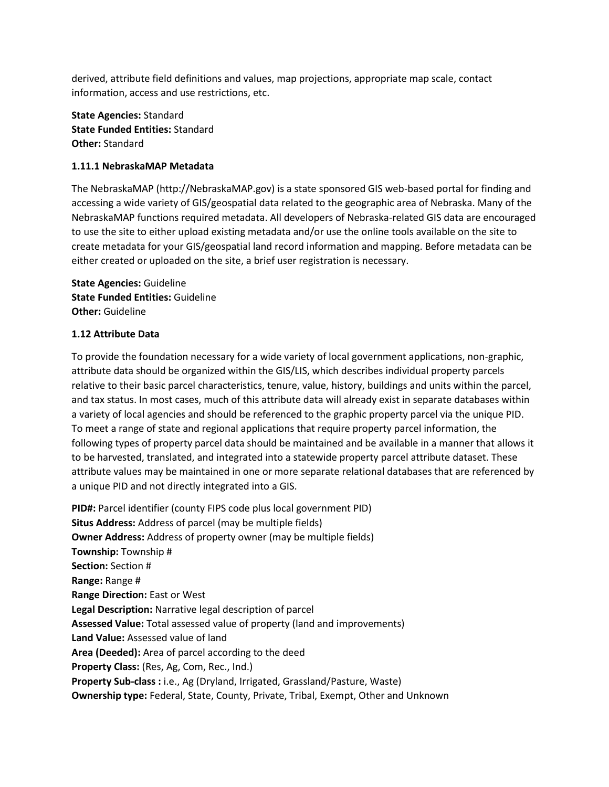derived, attribute field definitions and values, map projections, appropriate map scale, contact information, access and use restrictions, etc.

**State Agencies:** Standard **State Funded Entities:** Standard **Other:** Standard

# **1.11.1 NebraskaMAP Metadata**

The NebraskaMAP (http://NebraskaMAP.gov) is a state sponsored GIS web-based portal for finding and accessing a wide variety of GIS/geospatial data related to the geographic area of Nebraska. Many of the NebraskaMAP functions required metadata. All developers of Nebraska-related GIS data are encouraged to use the site to either upload existing metadata and/or use the online tools available on the site to create metadata for your GIS/geospatial land record information and mapping. Before metadata can be either created or uploaded on the site, a brief user registration is necessary.

**State Agencies:** Guideline **State Funded Entities:** Guideline **Other:** Guideline

# **1.12 Attribute Data**

To provide the foundation necessary for a wide variety of local government applications, non-graphic, attribute data should be organized within the GIS/LIS, which describes individual property parcels relative to their basic parcel characteristics, tenure, value, history, buildings and units within the parcel, and tax status. In most cases, much of this attribute data will already exist in separate databases within a variety of local agencies and should be referenced to the graphic property parcel via the unique PID. To meet a range of state and regional applications that require property parcel information, the following types of property parcel data should be maintained and be available in a manner that allows it to be harvested, translated, and integrated into a statewide property parcel attribute dataset. These attribute values may be maintained in one or more separate relational databases that are referenced by a unique PID and not directly integrated into a GIS.

**PID#:** Parcel identifier (county FIPS code plus local government PID) **Situs Address:** Address of parcel (may be multiple fields) **Owner Address:** Address of property owner (may be multiple fields) **Township:** Township # **Section:** Section # **Range:** Range # **Range Direction:** East or West **Legal Description:** Narrative legal description of parcel **Assessed Value:** Total assessed value of property (land and improvements) **Land Value:** Assessed value of land **Area (Deeded):** Area of parcel according to the deed **Property Class:** (Res, Ag, Com, Rec., Ind.) **Property Sub-class :** i.e., Ag (Dryland, Irrigated, Grassland/Pasture, Waste) **Ownership type:** Federal, State, County, Private, Tribal, Exempt, Other and Unknown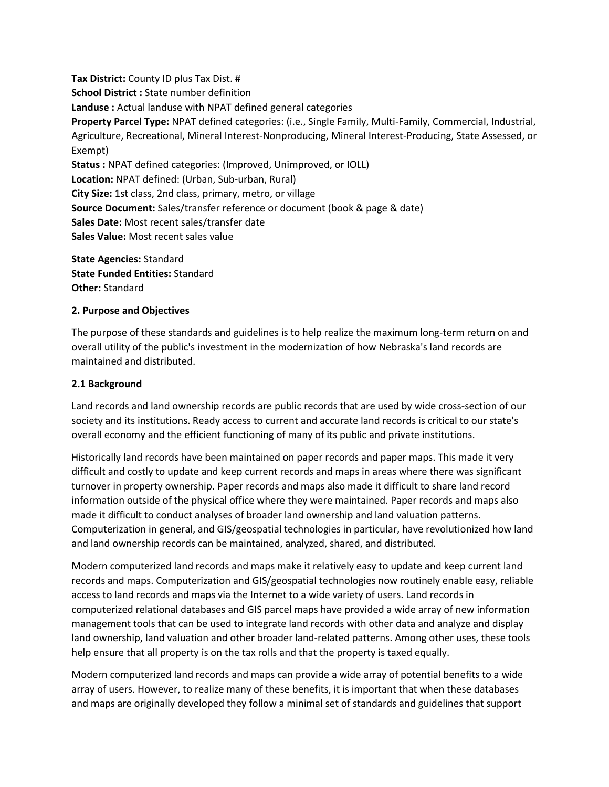**Tax District:** County ID plus Tax Dist. # **School District :** State number definition **Landuse :** Actual landuse with NPAT defined general categories **Property Parcel Type:** NPAT defined categories: (i.e., Single Family, Multi-Family, Commercial, Industrial, Agriculture, Recreational, Mineral Interest-Nonproducing, Mineral Interest-Producing, State Assessed, or Exempt) **Status :** NPAT defined categories: (Improved, Unimproved, or IOLL) **Location:** NPAT defined: (Urban, Sub-urban, Rural) **City Size:** 1st class, 2nd class, primary, metro, or village **Source Document:** Sales/transfer reference or document (book & page & date) **Sales Date:** Most recent sales/transfer date **Sales Value:** Most recent sales value

**State Agencies:** Standard **State Funded Entities:** Standard **Other:** Standard

# **2. Purpose and Objectives**

The purpose of these standards and guidelines is to help realize the maximum long-term return on and overall utility of the public's investment in the modernization of how Nebraska's land records are maintained and distributed.

#### **2.1 Background**

Land records and land ownership records are public records that are used by wide cross-section of our society and its institutions. Ready access to current and accurate land records is critical to our state's overall economy and the efficient functioning of many of its public and private institutions.

Historically land records have been maintained on paper records and paper maps. This made it very difficult and costly to update and keep current records and maps in areas where there was significant turnover in property ownership. Paper records and maps also made it difficult to share land record information outside of the physical office where they were maintained. Paper records and maps also made it difficult to conduct analyses of broader land ownership and land valuation patterns. Computerization in general, and GIS/geospatial technologies in particular, have revolutionized how land and land ownership records can be maintained, analyzed, shared, and distributed.

Modern computerized land records and maps make it relatively easy to update and keep current land records and maps. Computerization and GIS/geospatial technologies now routinely enable easy, reliable access to land records and maps via the Internet to a wide variety of users. Land records in computerized relational databases and GIS parcel maps have provided a wide array of new information management tools that can be used to integrate land records with other data and analyze and display land ownership, land valuation and other broader land-related patterns. Among other uses, these tools help ensure that all property is on the tax rolls and that the property is taxed equally.

Modern computerized land records and maps can provide a wide array of potential benefits to a wide array of users. However, to realize many of these benefits, it is important that when these databases and maps are originally developed they follow a minimal set of standards and guidelines that support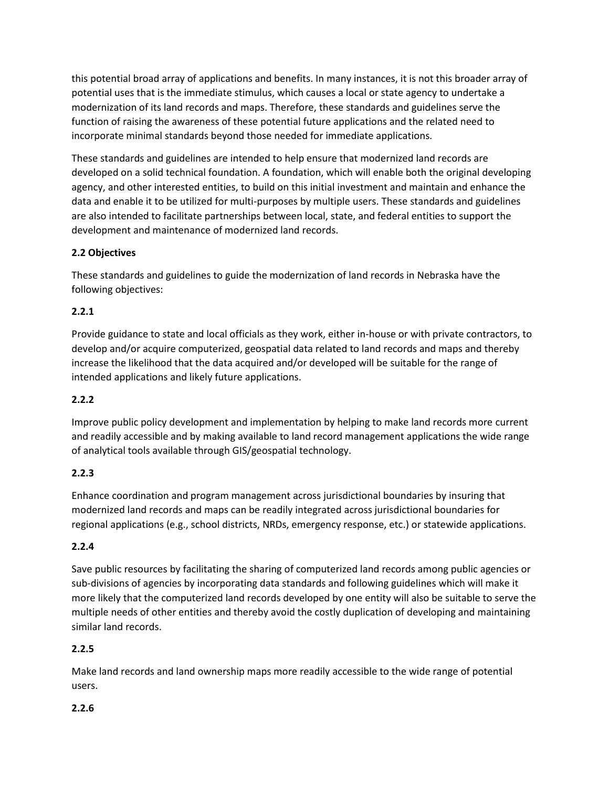this potential broad array of applications and benefits. In many instances, it is not this broader array of potential uses that is the immediate stimulus, which causes a local or state agency to undertake a modernization of its land records and maps. Therefore, these standards and guidelines serve the function of raising the awareness of these potential future applications and the related need to incorporate minimal standards beyond those needed for immediate applications.

These standards and guidelines are intended to help ensure that modernized land records are developed on a solid technical foundation. A foundation, which will enable both the original developing agency, and other interested entities, to build on this initial investment and maintain and enhance the data and enable it to be utilized for multi-purposes by multiple users. These standards and guidelines are also intended to facilitate partnerships between local, state, and federal entities to support the development and maintenance of modernized land records.

# **2.2 Objectives**

These standards and guidelines to guide the modernization of land records in Nebraska have the following objectives:

# **2.2.1**

Provide guidance to state and local officials as they work, either in-house or with private contractors, to develop and/or acquire computerized, geospatial data related to land records and maps and thereby increase the likelihood that the data acquired and/or developed will be suitable for the range of intended applications and likely future applications.

# **2.2.2**

Improve public policy development and implementation by helping to make land records more current and readily accessible and by making available to land record management applications the wide range of analytical tools available through GIS/geospatial technology.

# **2.2.3**

Enhance coordination and program management across jurisdictional boundaries by insuring that modernized land records and maps can be readily integrated across jurisdictional boundaries for regional applications (e.g., school districts, NRDs, emergency response, etc.) or statewide applications.

# **2.2.4**

Save public resources by facilitating the sharing of computerized land records among public agencies or sub-divisions of agencies by incorporating data standards and following guidelines which will make it more likely that the computerized land records developed by one entity will also be suitable to serve the multiple needs of other entities and thereby avoid the costly duplication of developing and maintaining similar land records.

# **2.2.5**

Make land records and land ownership maps more readily accessible to the wide range of potential users.

# **2.2.6**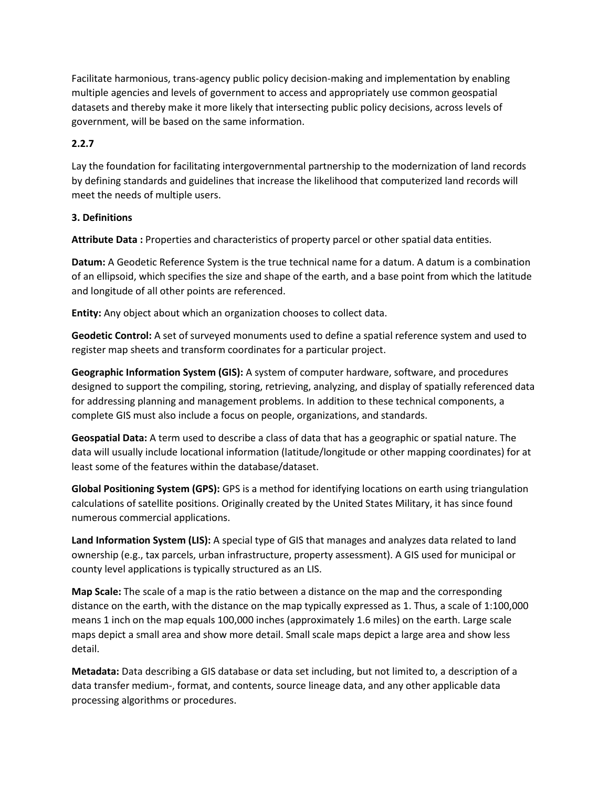Facilitate harmonious, trans-agency public policy decision-making and implementation by enabling multiple agencies and levels of government to access and appropriately use common geospatial datasets and thereby make it more likely that intersecting public policy decisions, across levels of government, will be based on the same information.

# **2.2.7**

Lay the foundation for facilitating intergovernmental partnership to the modernization of land records by defining standards and guidelines that increase the likelihood that computerized land records will meet the needs of multiple users.

# **3. Definitions**

**Attribute Data :** Properties and characteristics of property parcel or other spatial data entities.

**Datum:** A Geodetic Reference System is the true technical name for a datum. A datum is a combination of an ellipsoid, which specifies the size and shape of the earth, and a base point from which the latitude and longitude of all other points are referenced.

**Entity:** Any object about which an organization chooses to collect data.

**Geodetic Control:** A set of surveyed monuments used to define a spatial reference system and used to register map sheets and transform coordinates for a particular project.

**Geographic Information System (GIS):** A system of computer hardware, software, and procedures designed to support the compiling, storing, retrieving, analyzing, and display of spatially referenced data for addressing planning and management problems. In addition to these technical components, a complete GIS must also include a focus on people, organizations, and standards.

**Geospatial Data:** A term used to describe a class of data that has a geographic or spatial nature. The data will usually include locational information (latitude/longitude or other mapping coordinates) for at least some of the features within the database/dataset.

**Global Positioning System (GPS):** GPS is a method for identifying locations on earth using triangulation calculations of satellite positions. Originally created by the United States Military, it has since found numerous commercial applications.

**Land Information System (LIS):** A special type of GIS that manages and analyzes data related to land ownership (e.g., tax parcels, urban infrastructure, property assessment). A GIS used for municipal or county level applications is typically structured as an LIS.

**Map Scale:** The scale of a map is the ratio between a distance on the map and the corresponding distance on the earth, with the distance on the map typically expressed as 1. Thus, a scale of 1:100,000 means 1 inch on the map equals 100,000 inches (approximately 1.6 miles) on the earth. Large scale maps depict a small area and show more detail. Small scale maps depict a large area and show less detail.

**Metadata:** Data describing a GIS database or data set including, but not limited to, a description of a data transfer medium-, format, and contents, source lineage data, and any other applicable data processing algorithms or procedures.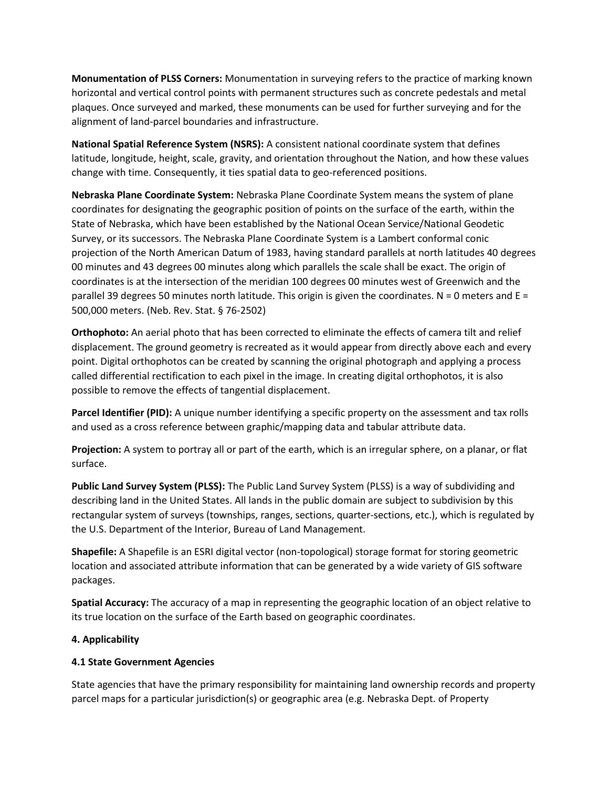**Monumentation of PLSS Corners:** Monumentation in surveying refers to the practice of marking known horizontal and vertical control points with permanent structures such as concrete pedestals and metal plaques. Once surveyed and marked, these monuments can be used for further surveying and for the alignment of land-parcel boundaries and infrastructure.

**National Spatial Reference System (NSRS):** A consistent national coordinate system that defines latitude, longitude, height, scale, gravity, and orientation throughout the Nation, and how these values change with time. Consequently, it ties spatial data to geo-referenced positions.

**Nebraska Plane Coordinate System:** Nebraska Plane Coordinate System means the system of plane coordinates for designating the geographic position of points on the surface of the earth, within the State of Nebraska, which have been established by the National Ocean Service/National Geodetic Survey, or its successors. The Nebraska Plane Coordinate System is a Lambert conformal conic projection of the North American Datum of 1983, having standard parallels at north latitudes 40 degrees 00 minutes and 43 degrees 00 minutes along which parallels the scale shall be exact. The origin of coordinates is at the intersection of the meridian 100 degrees 00 minutes west of Greenwich and the parallel 39 degrees 50 minutes north latitude. This origin is given the coordinates.  $N = 0$  meters and  $E =$ 500,000 meters. (Neb. Rev. Stat. § 76-2502)

**Orthophoto:** An aerial photo that has been corrected to eliminate the effects of camera tilt and relief displacement. The ground geometry is recreated as it would appear from directly above each and every point. Digital orthophotos can be created by scanning the original photograph and applying a process called differential rectification to each pixel in the image. In creating digital orthophotos, it is also possible to remove the effects of tangential displacement.

**Parcel Identifier (PID):** A unique number identifying a specific property on the assessment and tax rolls and used as a cross reference between graphic/mapping data and tabular attribute data.

**Projection:** A system to portray all or part of the earth, which is an irregular sphere, on a planar, or flat surface.

**Public Land Survey System (PLSS):** The Public Land Survey System (PLSS) is a way of subdividing and describing land in the United States. All lands in the public domain are subject to subdivision by this rectangular system of surveys (townships, ranges, sections, quarter-sections, etc.), which is regulated by the U.S. Department of the Interior, Bureau of Land Management.

**Shapefile:** A Shapefile is an ESRI digital vector (non-topological) storage format for storing geometric location and associated attribute information that can be generated by a wide variety of GIS software packages.

**Spatial Accuracy:** The accuracy of a map in representing the geographic location of an object relative to its true location on the surface of the Earth based on geographic coordinates.

# **4. Applicability**

# **4.1 State Government Agencies**

State agencies that have the primary responsibility for maintaining land ownership records and property parcel maps for a particular jurisdiction(s) or geographic area (e.g. Nebraska Dept. of Property